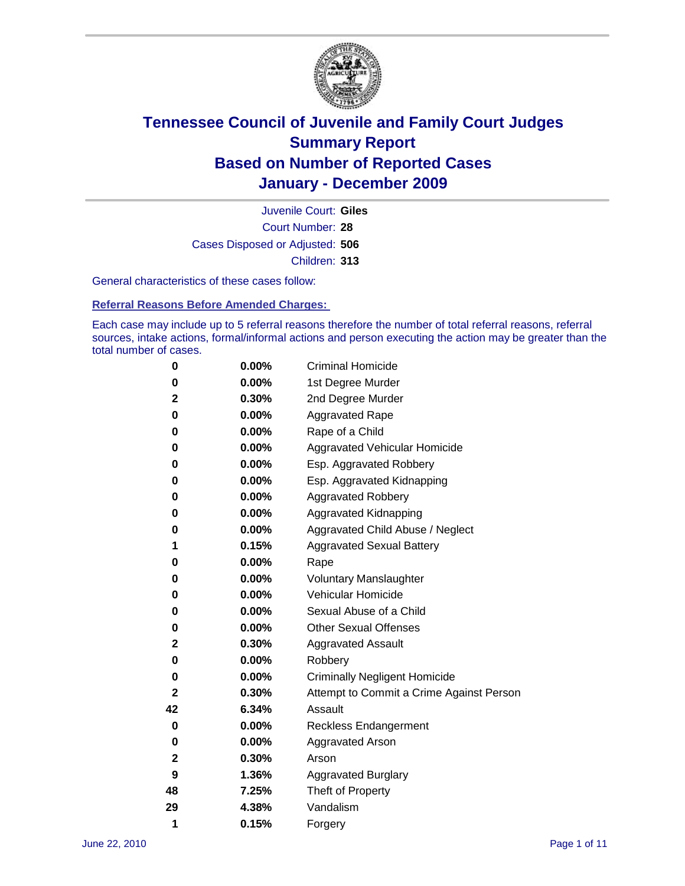

Court Number: **28** Juvenile Court: **Giles** Cases Disposed or Adjusted: **506** Children: **313**

General characteristics of these cases follow:

**Referral Reasons Before Amended Charges:** 

Each case may include up to 5 referral reasons therefore the number of total referral reasons, referral sources, intake actions, formal/informal actions and person executing the action may be greater than the total number of cases.

| 0  | 0.00%    | <b>Criminal Homicide</b>                 |
|----|----------|------------------------------------------|
| 0  | 0.00%    | 1st Degree Murder                        |
| 2  | 0.30%    | 2nd Degree Murder                        |
| 0  | 0.00%    | <b>Aggravated Rape</b>                   |
| 0  | 0.00%    | Rape of a Child                          |
| 0  | 0.00%    | Aggravated Vehicular Homicide            |
| 0  | 0.00%    | Esp. Aggravated Robbery                  |
| 0  | 0.00%    | Esp. Aggravated Kidnapping               |
| 0  | 0.00%    | <b>Aggravated Robbery</b>                |
| 0  | 0.00%    | Aggravated Kidnapping                    |
| 0  | 0.00%    | Aggravated Child Abuse / Neglect         |
| 1  | 0.15%    | <b>Aggravated Sexual Battery</b>         |
| 0  | 0.00%    | Rape                                     |
| 0  | $0.00\%$ | <b>Voluntary Manslaughter</b>            |
| 0  | 0.00%    | Vehicular Homicide                       |
| 0  | 0.00%    | Sexual Abuse of a Child                  |
| 0  | 0.00%    | <b>Other Sexual Offenses</b>             |
| 2  | 0.30%    | <b>Aggravated Assault</b>                |
| 0  | $0.00\%$ | Robbery                                  |
| 0  | 0.00%    | <b>Criminally Negligent Homicide</b>     |
| 2  | 0.30%    | Attempt to Commit a Crime Against Person |
| 42 | 6.34%    | Assault                                  |
| 0  | 0.00%    | <b>Reckless Endangerment</b>             |
| 0  | 0.00%    | <b>Aggravated Arson</b>                  |
| 2  | 0.30%    | Arson                                    |
| 9  | 1.36%    | <b>Aggravated Burglary</b>               |
| 48 | 7.25%    | Theft of Property                        |
| 29 | 4.38%    | Vandalism                                |
| 1  | 0.15%    | Forgery                                  |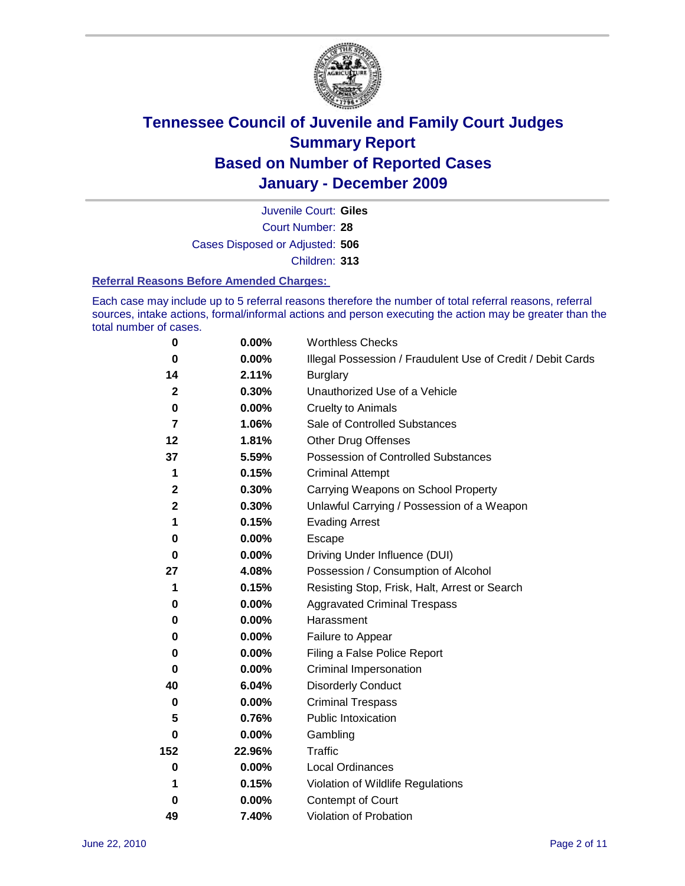

Court Number: **28** Juvenile Court: **Giles** Cases Disposed or Adjusted: **506** Children: **313**

#### **Referral Reasons Before Amended Charges:**

Each case may include up to 5 referral reasons therefore the number of total referral reasons, referral sources, intake actions, formal/informal actions and person executing the action may be greater than the total number of cases.

| $\bf{0}$         | 0.00%    | <b>Worthless Checks</b>                                     |
|------------------|----------|-------------------------------------------------------------|
| 0                | 0.00%    | Illegal Possession / Fraudulent Use of Credit / Debit Cards |
| 14               | 2.11%    | <b>Burglary</b>                                             |
| $\mathbf{2}$     | 0.30%    | Unauthorized Use of a Vehicle                               |
| $\pmb{0}$        | $0.00\%$ | <b>Cruelty to Animals</b>                                   |
| 7                | 1.06%    | Sale of Controlled Substances                               |
| 12               | 1.81%    | <b>Other Drug Offenses</b>                                  |
| 37               | 5.59%    | Possession of Controlled Substances                         |
| 1                | 0.15%    | <b>Criminal Attempt</b>                                     |
| $\boldsymbol{2}$ | 0.30%    | Carrying Weapons on School Property                         |
| $\mathbf 2$      | 0.30%    | Unlawful Carrying / Possession of a Weapon                  |
| 1                | 0.15%    | <b>Evading Arrest</b>                                       |
| 0                | 0.00%    | Escape                                                      |
| 0                | $0.00\%$ | Driving Under Influence (DUI)                               |
| 27               | 4.08%    | Possession / Consumption of Alcohol                         |
| 1                | 0.15%    | Resisting Stop, Frisk, Halt, Arrest or Search               |
| 0                | $0.00\%$ | <b>Aggravated Criminal Trespass</b>                         |
| 0                | $0.00\%$ | Harassment                                                  |
| 0                | 0.00%    | Failure to Appear                                           |
| 0                | $0.00\%$ | Filing a False Police Report                                |
| 0                | 0.00%    | Criminal Impersonation                                      |
| 40               | 6.04%    | <b>Disorderly Conduct</b>                                   |
| 0                | $0.00\%$ | <b>Criminal Trespass</b>                                    |
| 5                | 0.76%    | <b>Public Intoxication</b>                                  |
| 0                | $0.00\%$ | Gambling                                                    |
| 152              | 22.96%   | <b>Traffic</b>                                              |
| 0                | $0.00\%$ | Local Ordinances                                            |
| 1                | 0.15%    | Violation of Wildlife Regulations                           |
| 0                | $0.00\%$ | Contempt of Court                                           |
| 49               | 7.40%    | Violation of Probation                                      |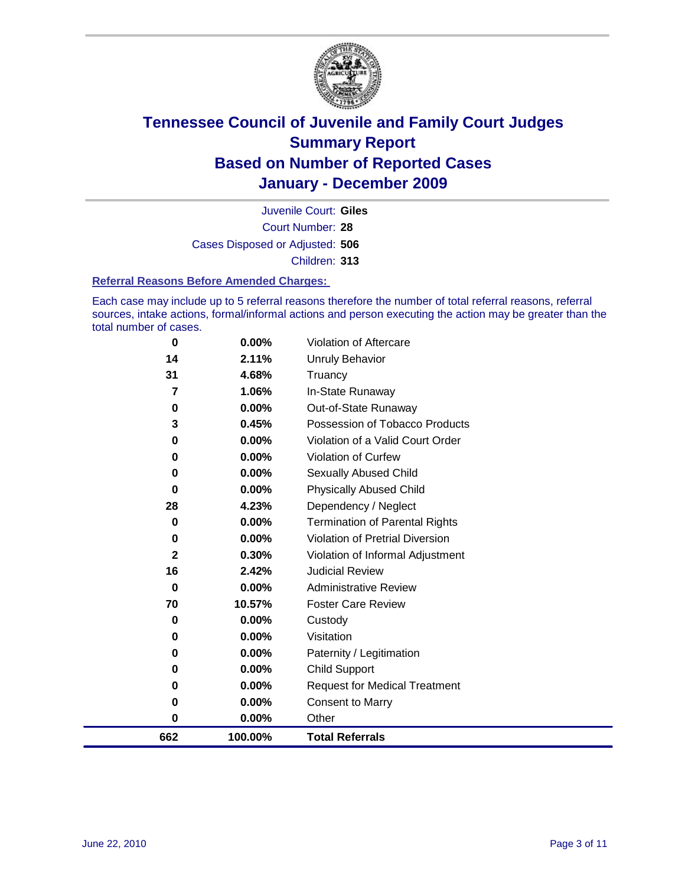

Court Number: **28** Juvenile Court: **Giles** Cases Disposed or Adjusted: **506** Children: **313**

#### **Referral Reasons Before Amended Charges:**

Each case may include up to 5 referral reasons therefore the number of total referral reasons, referral sources, intake actions, formal/informal actions and person executing the action may be greater than the total number of cases.

| 662            | 100.00%  | <b>Total Referrals</b>                 |
|----------------|----------|----------------------------------------|
| 0              | 0.00%    | Other                                  |
| 0              | $0.00\%$ | <b>Consent to Marry</b>                |
| 0              | $0.00\%$ | <b>Request for Medical Treatment</b>   |
| 0              | 0.00%    | <b>Child Support</b>                   |
| 0              | $0.00\%$ | Paternity / Legitimation               |
| 0              | $0.00\%$ | Visitation                             |
| 0              | 0.00%    | Custody                                |
| 70             | 10.57%   | <b>Foster Care Review</b>              |
| 0              | $0.00\%$ | <b>Administrative Review</b>           |
| 16             | 2.42%    | <b>Judicial Review</b>                 |
| $\mathbf{2}$   | 0.30%    | Violation of Informal Adjustment       |
| 0              | 0.00%    | <b>Violation of Pretrial Diversion</b> |
| 0              | 0.00%    | <b>Termination of Parental Rights</b>  |
| 28             | 4.23%    | Dependency / Neglect                   |
| $\bf{0}$       | 0.00%    | <b>Physically Abused Child</b>         |
| 0              | $0.00\%$ | Sexually Abused Child                  |
| 0              | $0.00\%$ | <b>Violation of Curfew</b>             |
| 0              | 0.00%    | Violation of a Valid Court Order       |
| 3              | 0.45%    | Possession of Tobacco Products         |
| 0              | $0.00\%$ | Out-of-State Runaway                   |
| $\overline{7}$ | 1.06%    | In-State Runaway                       |
| 31             | 4.68%    | Truancy                                |
| 14             | 2.11%    | Unruly Behavior                        |
| 0              | 0.00%    | Violation of Aftercare                 |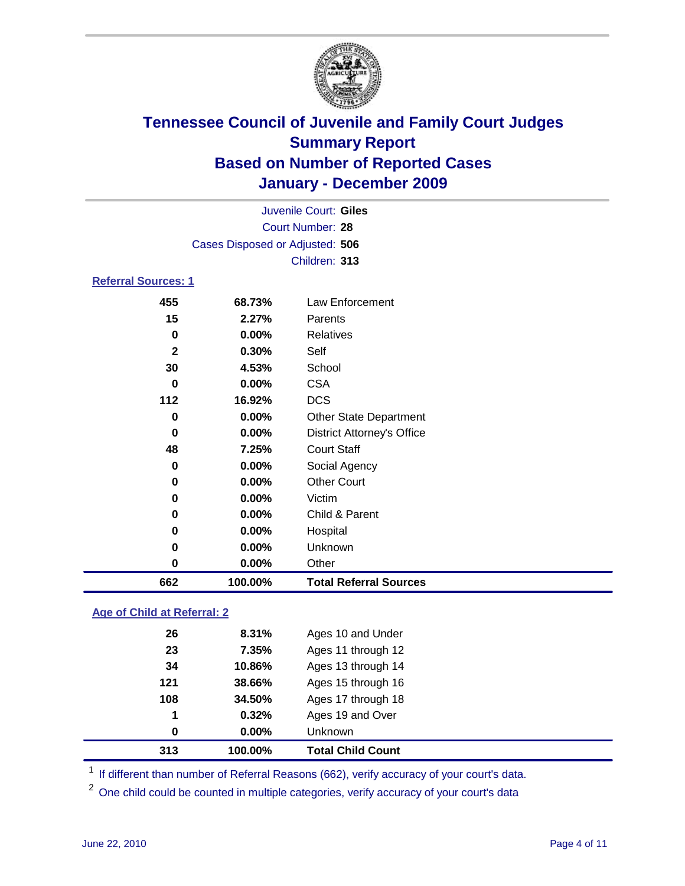

| Juvenile Court: Giles           |          |                                   |  |  |
|---------------------------------|----------|-----------------------------------|--|--|
| Court Number: 28                |          |                                   |  |  |
| Cases Disposed or Adjusted: 506 |          |                                   |  |  |
|                                 |          | Children: 313                     |  |  |
| <b>Referral Sources: 1</b>      |          |                                   |  |  |
| 455                             | 68.73%   | <b>Law Enforcement</b>            |  |  |
| 15                              | 2.27%    | Parents                           |  |  |
| 0                               | 0.00%    | <b>Relatives</b>                  |  |  |
| $\mathbf{2}$                    | 0.30%    | Self                              |  |  |
| 30                              | 4.53%    | School                            |  |  |
| $\bf{0}$                        | 0.00%    | <b>CSA</b>                        |  |  |
| 112                             | 16.92%   | <b>DCS</b>                        |  |  |
| $\bf{0}$                        | $0.00\%$ | <b>Other State Department</b>     |  |  |
| $\bf{0}$                        | 0.00%    | <b>District Attorney's Office</b> |  |  |
| 48                              | 7.25%    | <b>Court Staff</b>                |  |  |
| 0                               | 0.00%    | Social Agency                     |  |  |
| 0                               | 0.00%    | <b>Other Court</b>                |  |  |
| 0                               | 0.00%    | Victim                            |  |  |
| 0                               | 0.00%    | Child & Parent                    |  |  |
| 0                               | 0.00%    | Hospital                          |  |  |
| 0                               | 0.00%    | Unknown                           |  |  |
| 0                               | 0.00%    | Other                             |  |  |
| 662                             | 100.00%  | <b>Total Referral Sources</b>     |  |  |
| Age of Child at Referral: 2     |          |                                   |  |  |
|                                 |          |                                   |  |  |
| 26                              | 8.31%    | Ages 10 and Under                 |  |  |

| 313 | 100.00%      | <b>Total Child Count</b> |  |
|-----|--------------|--------------------------|--|
| 0   | $0.00\%$     | <b>Unknown</b>           |  |
| 1   | 0.32%        | Ages 19 and Over         |  |
| 108 | 34.50%       | Ages 17 through 18       |  |
| 121 | 38.66%       | Ages 15 through 16       |  |
| 34  | 10.86%       | Ages 13 through 14       |  |
| 23  | 7.35%        | Ages 11 through 12       |  |
| 20  | <b>8.31%</b> | Ages TO and Under        |  |

<sup>1</sup> If different than number of Referral Reasons (662), verify accuracy of your court's data.

<sup>2</sup> One child could be counted in multiple categories, verify accuracy of your court's data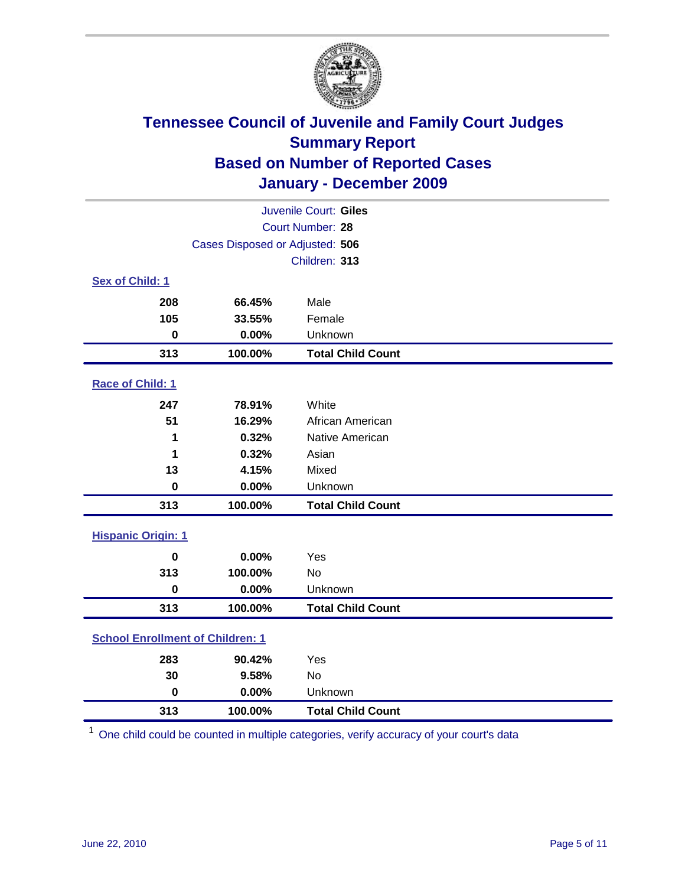

| Juvenile Court: Giles                   |                                 |                          |  |  |
|-----------------------------------------|---------------------------------|--------------------------|--|--|
| Court Number: 28                        |                                 |                          |  |  |
|                                         | Cases Disposed or Adjusted: 506 |                          |  |  |
|                                         |                                 | Children: 313            |  |  |
| Sex of Child: 1                         |                                 |                          |  |  |
| 208                                     | 66.45%                          | Male                     |  |  |
| 105                                     | 33.55%                          | Female                   |  |  |
| $\mathbf 0$                             | 0.00%                           | Unknown                  |  |  |
| 313                                     | 100.00%                         | <b>Total Child Count</b> |  |  |
| Race of Child: 1                        |                                 |                          |  |  |
| 247                                     | 78.91%                          | White                    |  |  |
| 51                                      | 16.29%                          | African American         |  |  |
| 1                                       | 0.32%                           | Native American          |  |  |
| 1                                       | 0.32%                           | Asian                    |  |  |
| 13                                      | 4.15%                           | Mixed                    |  |  |
| $\mathbf 0$                             | 0.00%                           | Unknown                  |  |  |
| 313                                     | 100.00%                         | <b>Total Child Count</b> |  |  |
| <b>Hispanic Origin: 1</b>               |                                 |                          |  |  |
| $\mathbf 0$                             | 0.00%                           | Yes                      |  |  |
| 313                                     | 100.00%                         | <b>No</b>                |  |  |
| $\mathbf 0$                             | 0.00%                           | Unknown                  |  |  |
| 313                                     | 100.00%                         | <b>Total Child Count</b> |  |  |
| <b>School Enrollment of Children: 1</b> |                                 |                          |  |  |
| 283                                     | 90.42%                          | Yes                      |  |  |
| 30                                      | 9.58%                           | No                       |  |  |
| $\mathbf 0$                             | 0.00%                           | Unknown                  |  |  |
| 313                                     | 100.00%                         | <b>Total Child Count</b> |  |  |

One child could be counted in multiple categories, verify accuracy of your court's data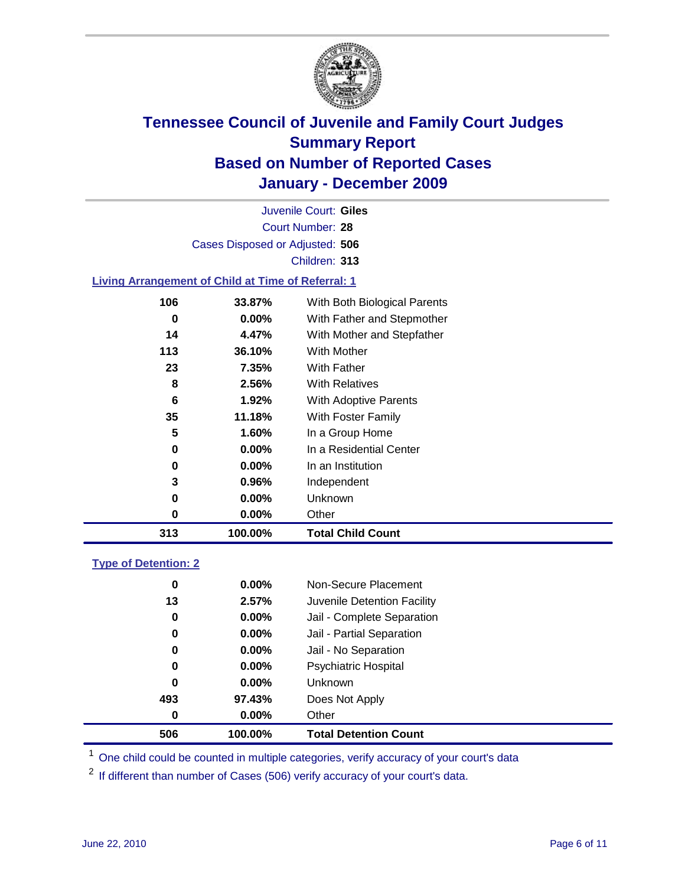

Court Number: **28** Juvenile Court: **Giles** Cases Disposed or Adjusted: **506** Children: **313**

#### **Living Arrangement of Child at Time of Referral: 1**

| 313 | 100.00%  | <b>Total Child Count</b>     |
|-----|----------|------------------------------|
| 0   | $0.00\%$ | Other                        |
| 0   | $0.00\%$ | Unknown                      |
| 3   | 0.96%    | Independent                  |
| 0   | $0.00\%$ | In an Institution            |
| 0   | $0.00\%$ | In a Residential Center      |
| 5   | 1.60%    | In a Group Home              |
| 35  | 11.18%   | With Foster Family           |
| 6   | 1.92%    | With Adoptive Parents        |
| 8   | 2.56%    | <b>With Relatives</b>        |
| 23  | 7.35%    | With Father                  |
| 113 | 36.10%   | <b>With Mother</b>           |
| 14  | 4.47%    | With Mother and Stepfather   |
| 0   | $0.00\%$ | With Father and Stepmother   |
| 106 | 33.87%   | With Both Biological Parents |
|     |          |                              |

#### **Type of Detention: 2**

| 506 | 100.00%  | <b>Total Detention Count</b> |  |
|-----|----------|------------------------------|--|
| 0   | 0.00%    | Other                        |  |
| 493 | 97.43%   | Does Not Apply               |  |
| 0   | $0.00\%$ | Unknown                      |  |
| 0   | $0.00\%$ | Psychiatric Hospital         |  |
| 0   | 0.00%    | Jail - No Separation         |  |
| 0   | $0.00\%$ | Jail - Partial Separation    |  |
| 0   | $0.00\%$ | Jail - Complete Separation   |  |
| 13  | 2.57%    | Juvenile Detention Facility  |  |
| 0   | $0.00\%$ | Non-Secure Placement         |  |
|     |          |                              |  |

<sup>1</sup> One child could be counted in multiple categories, verify accuracy of your court's data

<sup>2</sup> If different than number of Cases (506) verify accuracy of your court's data.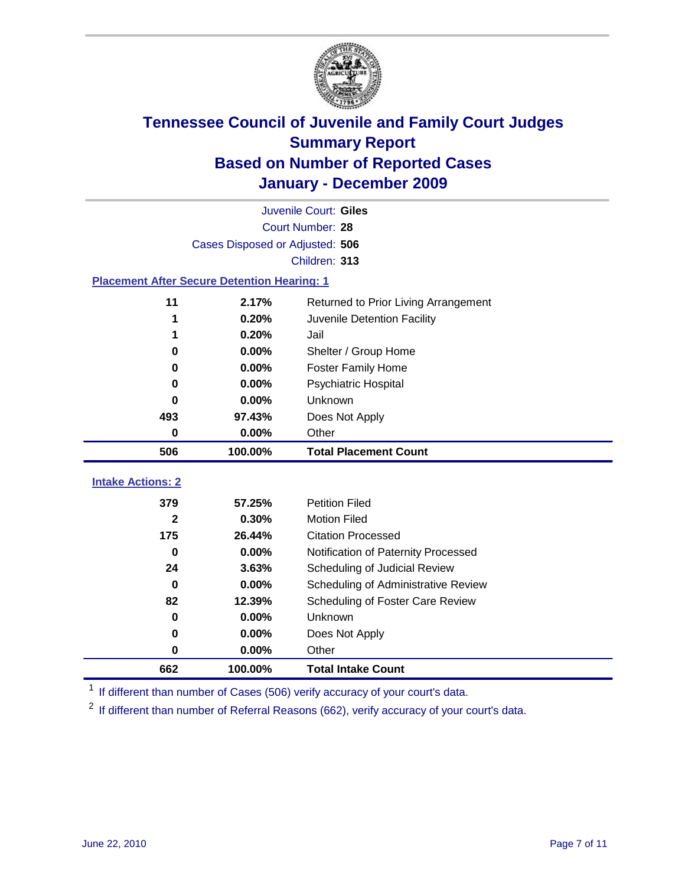

|                                                    |          | Juvenile Court: Giles                |  |  |  |
|----------------------------------------------------|----------|--------------------------------------|--|--|--|
| Court Number: 28                                   |          |                                      |  |  |  |
| Cases Disposed or Adjusted: 506                    |          |                                      |  |  |  |
| Children: 313                                      |          |                                      |  |  |  |
| <b>Placement After Secure Detention Hearing: 1</b> |          |                                      |  |  |  |
| 11                                                 | 2.17%    | Returned to Prior Living Arrangement |  |  |  |
| 1                                                  | 0.20%    | Juvenile Detention Facility          |  |  |  |
| 1                                                  | 0.20%    | Jail                                 |  |  |  |
| $\bf{0}$                                           | $0.00\%$ | Shelter / Group Home                 |  |  |  |
| 0                                                  | 0.00%    | <b>Foster Family Home</b>            |  |  |  |
| 0                                                  | 0.00%    | Psychiatric Hospital                 |  |  |  |
| 0                                                  | 0.00%    | Unknown                              |  |  |  |
| 493                                                | 97.43%   | Does Not Apply                       |  |  |  |
| $\bf{0}$                                           | $0.00\%$ | Other                                |  |  |  |
| 506                                                | 100.00%  | <b>Total Placement Count</b>         |  |  |  |
|                                                    |          |                                      |  |  |  |
| <b>Intake Actions: 2</b>                           |          |                                      |  |  |  |
| 379                                                | 57.25%   | <b>Petition Filed</b>                |  |  |  |
| $\mathbf{2}$                                       | 0.30%    | <b>Motion Filed</b>                  |  |  |  |
| 175                                                | 26.44%   | <b>Citation Processed</b>            |  |  |  |
| 0                                                  | 0.00%    | Notification of Paternity Processed  |  |  |  |
| 24                                                 | 3.63%    | Scheduling of Judicial Review        |  |  |  |
| $\bf{0}$                                           | 0.00%    | Scheduling of Administrative Review  |  |  |  |
| 82                                                 | 12.39%   | Scheduling of Foster Care Review     |  |  |  |
| $\bf{0}$                                           | 0.00%    | Unknown                              |  |  |  |
| $\bf{0}$                                           | 0.00%    | Does Not Apply                       |  |  |  |
| 0                                                  | 0.00%    | Other                                |  |  |  |
| 662                                                | 100.00%  | <b>Total Intake Count</b>            |  |  |  |

<sup>1</sup> If different than number of Cases (506) verify accuracy of your court's data.

<sup>2</sup> If different than number of Referral Reasons (662), verify accuracy of your court's data.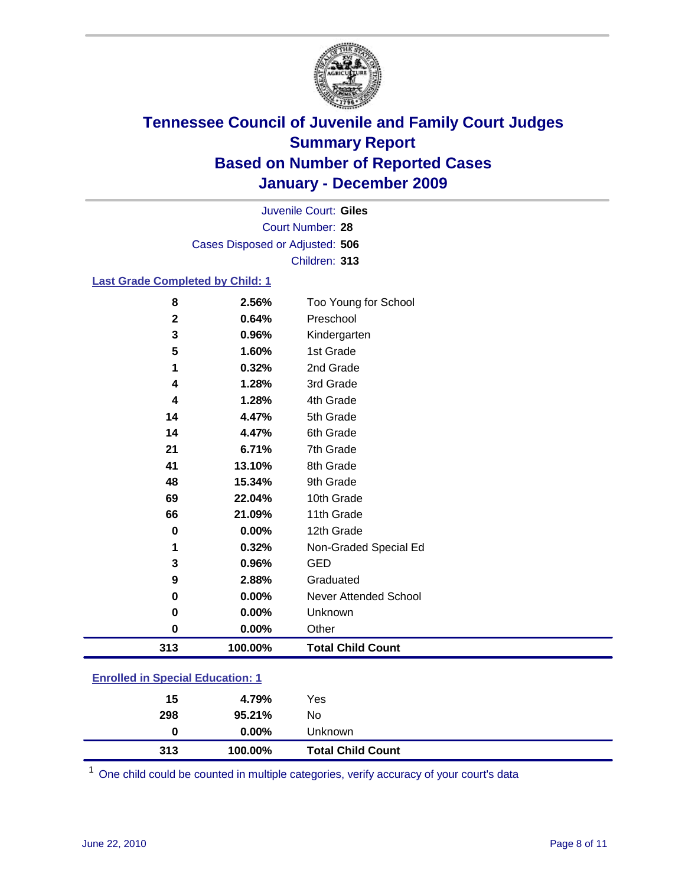

Court Number: **28** Juvenile Court: **Giles** Cases Disposed or Adjusted: **506** Children: **313**

### **Last Grade Completed by Child: 1**

| 8                                | 2.56%   | Too Young for School         |
|----------------------------------|---------|------------------------------|
| $\mathbf 2$                      | 0.64%   | Preschool                    |
| 3                                | 0.96%   | Kindergarten                 |
| 5                                | 1.60%   | 1st Grade                    |
| 1                                | 0.32%   | 2nd Grade                    |
| 4                                | 1.28%   | 3rd Grade                    |
| 4                                | 1.28%   | 4th Grade                    |
| 14                               | 4.47%   | 5th Grade                    |
| 14                               | 4.47%   | 6th Grade                    |
| 21                               | 6.71%   | 7th Grade                    |
| 41                               | 13.10%  | 8th Grade                    |
| 48                               | 15.34%  | 9th Grade                    |
| 69                               | 22.04%  | 10th Grade                   |
| 66                               | 21.09%  | 11th Grade                   |
| 0                                | 0.00%   | 12th Grade                   |
| 1                                | 0.32%   | Non-Graded Special Ed        |
| 3                                | 0.96%   | <b>GED</b>                   |
| 9                                | 2.88%   | Graduated                    |
| 0                                | 0.00%   | <b>Never Attended School</b> |
| 0                                | 0.00%   | Unknown                      |
| 0                                | 0.00%   | Other                        |
| 313                              | 100.00% | <b>Total Child Count</b>     |
| Enrolled in Coopiel Education: 1 |         |                              |

| <b>Enrolled in Special Education: 1</b> |  |
|-----------------------------------------|--|
|                                         |  |

| 313 | 100.00%  | <b>Total Child Count</b> |  |
|-----|----------|--------------------------|--|
| 0   | $0.00\%$ | Unknown                  |  |
| 298 | 95.21%   | No                       |  |
| 15  | 4.79%    | Yes                      |  |

One child could be counted in multiple categories, verify accuracy of your court's data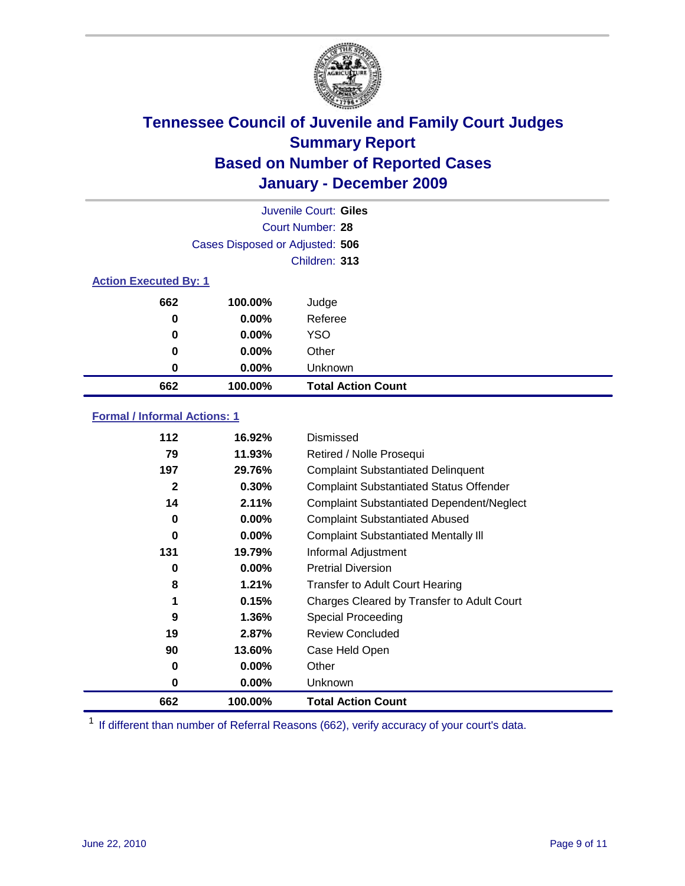

|                              |                                 | Juvenile Court: Giles     |  |  |  |
|------------------------------|---------------------------------|---------------------------|--|--|--|
|                              | Court Number: 28                |                           |  |  |  |
|                              | Cases Disposed or Adjusted: 506 |                           |  |  |  |
|                              |                                 | Children: 313             |  |  |  |
| <b>Action Executed By: 1</b> |                                 |                           |  |  |  |
| 662                          | 100.00%                         | Judge                     |  |  |  |
| 0                            | $0.00\%$                        | Referee                   |  |  |  |
| $\bf{0}$                     | $0.00\%$                        | <b>YSO</b>                |  |  |  |
| 0                            | 0.00%                           | Other                     |  |  |  |
| 0                            | 0.00%                           | Unknown                   |  |  |  |
| 662                          | 100.00%                         | <b>Total Action Count</b> |  |  |  |

### **Formal / Informal Actions: 1**

| 112          | 16.92%   | Dismissed                                        |
|--------------|----------|--------------------------------------------------|
| 79           | 11.93%   | Retired / Nolle Prosequi                         |
| 197          | 29.76%   | <b>Complaint Substantiated Delinquent</b>        |
| $\mathbf{2}$ | 0.30%    | <b>Complaint Substantiated Status Offender</b>   |
| 14           | 2.11%    | <b>Complaint Substantiated Dependent/Neglect</b> |
| 0            | $0.00\%$ | <b>Complaint Substantiated Abused</b>            |
| 0            | $0.00\%$ | <b>Complaint Substantiated Mentally III</b>      |
| 131          | 19.79%   | Informal Adjustment                              |
| 0            | $0.00\%$ | <b>Pretrial Diversion</b>                        |
| 8            | 1.21%    | <b>Transfer to Adult Court Hearing</b>           |
| 1            | 0.15%    | Charges Cleared by Transfer to Adult Court       |
| 9            | 1.36%    | Special Proceeding                               |
| 19           | 2.87%    | <b>Review Concluded</b>                          |
| 90           | 13.60%   | Case Held Open                                   |
| 0            | $0.00\%$ | Other                                            |
| 0            | $0.00\%$ | Unknown                                          |
| 662          | 100.00%  | <b>Total Action Count</b>                        |

<sup>1</sup> If different than number of Referral Reasons (662), verify accuracy of your court's data.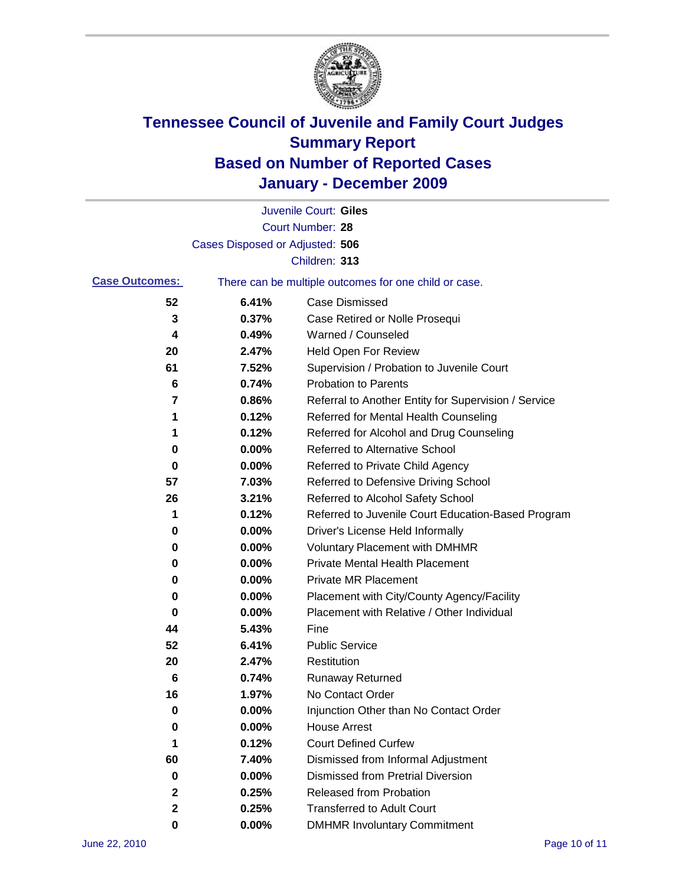

|                       |                                 | Juvenile Court: Giles                                 |
|-----------------------|---------------------------------|-------------------------------------------------------|
|                       |                                 | <b>Court Number: 28</b>                               |
|                       | Cases Disposed or Adjusted: 506 |                                                       |
|                       |                                 | Children: 313                                         |
| <b>Case Outcomes:</b> |                                 | There can be multiple outcomes for one child or case. |
| 52                    | 6.41%                           | <b>Case Dismissed</b>                                 |
| 3                     | 0.37%                           | Case Retired or Nolle Prosequi                        |
| 4                     | 0.49%                           | Warned / Counseled                                    |
| 20                    | 2.47%                           | Held Open For Review                                  |
| 61                    | 7.52%                           | Supervision / Probation to Juvenile Court             |
| 6                     | 0.74%                           | <b>Probation to Parents</b>                           |
| 7                     | 0.86%                           | Referral to Another Entity for Supervision / Service  |
| 1                     | 0.12%                           | Referred for Mental Health Counseling                 |
| 1                     | 0.12%                           | Referred for Alcohol and Drug Counseling              |
| 0                     | 0.00%                           | <b>Referred to Alternative School</b>                 |
| 0                     | 0.00%                           | Referred to Private Child Agency                      |
| 57                    | 7.03%                           | Referred to Defensive Driving School                  |
| 26                    | 3.21%                           | Referred to Alcohol Safety School                     |
| 1                     | 0.12%                           | Referred to Juvenile Court Education-Based Program    |
| 0                     | 0.00%                           | Driver's License Held Informally                      |
| 0                     | 0.00%                           | <b>Voluntary Placement with DMHMR</b>                 |
| 0                     | 0.00%                           | <b>Private Mental Health Placement</b>                |
| 0                     | 0.00%                           | <b>Private MR Placement</b>                           |
| 0                     | 0.00%                           | Placement with City/County Agency/Facility            |
| 0                     | 0.00%                           | Placement with Relative / Other Individual            |
| 44                    | 5.43%                           | Fine                                                  |
| 52                    | 6.41%                           | <b>Public Service</b>                                 |
| 20                    | 2.47%                           | Restitution                                           |
| 6                     | 0.74%                           | <b>Runaway Returned</b>                               |
| 16                    | 1.97%                           | No Contact Order                                      |
| 0                     | 0.00%                           | Injunction Other than No Contact Order                |
| 0                     | 0.00%                           | <b>House Arrest</b>                                   |
| 1                     | 0.12%                           | <b>Court Defined Curfew</b>                           |
| 60                    | 7.40%                           | Dismissed from Informal Adjustment                    |
| 0                     | $0.00\%$                        | <b>Dismissed from Pretrial Diversion</b>              |
| 2                     | 0.25%                           | Released from Probation                               |
| 2                     | 0.25%                           | <b>Transferred to Adult Court</b>                     |
| 0                     | $0.00\%$                        | <b>DMHMR Involuntary Commitment</b>                   |